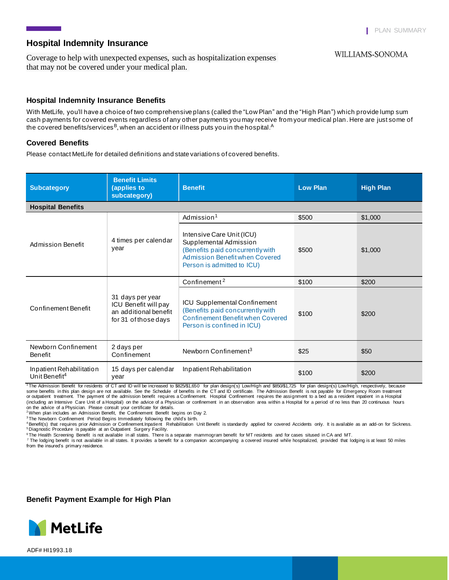**WILLIAMS-SONOMA if**  $\sum_{i=1}^{n} a_i$ 

## **Hospital Indemnity Insurance**

Coverage to help with unexpected expenses, such as hospitalization expenses that may not be covered under your medical plan.

## **Hospital Indemnity Insurance Benefits**

With MetLife, you'll have a choice of two comprehensive plans (called the "Low Plan" and the "High Plan") which provide lump sum cash payments for covered events regardless of any other payments you may receive from your medical plan. Here are just some of the covered benefits/services<sup>B</sup>, when an accident or illness puts you in the hospital.<sup>A</sup>

#### **Covered Benefits**

Please contact MetLife for detailed definitions and state variations of covered benefits.

| <b>Subcategory</b>                                    | <b>Benefit Limits</b><br>(applies to<br>subcategory)                                      | <b>Benefit</b>                                                                                                                                          | <b>Low Plan</b> | <b>High Plan</b> |  |
|-------------------------------------------------------|-------------------------------------------------------------------------------------------|---------------------------------------------------------------------------------------------------------------------------------------------------------|-----------------|------------------|--|
| <b>Hospital Benefits</b>                              |                                                                                           |                                                                                                                                                         |                 |                  |  |
| <b>Admission Benefit</b>                              | 4 times per calendar<br>year                                                              | Admission <sup>1</sup>                                                                                                                                  | \$500           | \$1,000          |  |
|                                                       |                                                                                           | Intensive Care Unit (ICU)<br>Supplemental Admission<br>(Benefits paid concurrently with<br>Admission Benefit when Covered<br>Person is admitted to ICU) | \$500           | \$1,000          |  |
| Confinement Benefit                                   | 31 days per year<br>ICU Benefit will pay<br>an additional benefit<br>for 31 of those days | Confinement <sup>2</sup>                                                                                                                                | \$100           | \$200            |  |
|                                                       |                                                                                           | <b>ICU Supplemental Confinement</b><br>(Benefits paid concurrently with<br><b>Confinement Benefit when Covered</b><br>Person is confined in ICU)        | \$100           | \$200            |  |
| Newborn Confinement<br><b>Benefit</b>                 | 2 days per<br>Confinement                                                                 | Newborn Confinement <sup>3</sup>                                                                                                                        | \$25            | \$50             |  |
| Inpatient Rehabilitation<br>Unit Benefit <sup>4</sup> | 15 days per calendar<br>year                                                              | Inpatient Rehabilitation                                                                                                                                | \$100           | \$200            |  |

<sup>1</sup>The Admission Benefit for residents of CT and ID will be increased to \$825/\$1,650 for plan design(s) Low/High and \$850/\$1,725 for plan design(s) Low/High, respectively, because<br>some benefits in this plan design are not or outpatient treatment. The payment of the admission benefit requires a Confinement. Hospital Confinement requires the assignment to a bed as a resident inpatient in a Hospital (including an Intensive Care Unit of a Hospital) on the advice of a Physician or confinement in an observation area within a Hospital for a period of no less than 20 continuous hours on the advice of a Physician. Please consult your certificate for details. <sup>2</sup>When plan includes an Admission Benefit, the Confinement Benefit begins on Day 2.

<sup>3</sup>The Newborn Confinement Period Begins Immediately following the child's birth.<br><sup>4</sup>Benefit(s) that requires prior Admission or Confinement.Inpatient Rehabilitation Unit Benefit is standardly applied for covered Accidents

<sup>5</sup> Diagnostic Procedure is payable at an Outpatient Surgery Facility.

<sup>6</sup>The Health Screening Benefit is not available in all states. There is a separate mammogram benefit for MT residents and for cases sitused in CA and MT.

7 The lodging benefit is not available in all states. It provides a benefit for a companion accompanying a covered insured while hospitalized, provided that lodging is at least 50 miles from the insured's primary residence.

**Benefit Payment Example for High Plan**



ADF# HI1993.18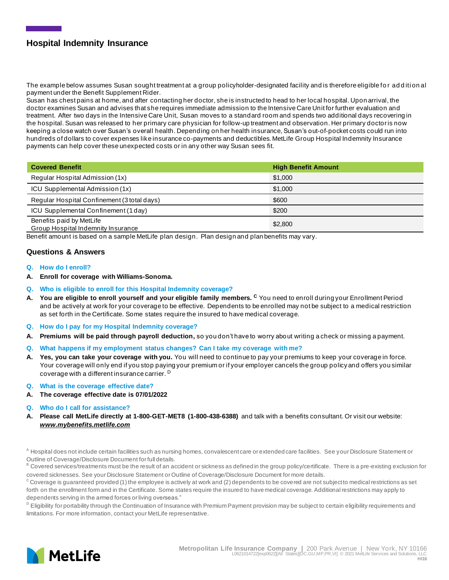# **Hospital Indemnity Insurance**

The example below assumes Susan sought treatment at a group policyholder-designated facility and is therefore eligible fo r ad d iti on al payment under the Benefit Supplement Rider.

Susan has chest pains at home, and after contacting her doctor, she is instructed to head to her local hospital. Upon arrival, the doctor examines Susan and advises that she requires immediate admission to the Intensive Care Unit for further evaluation and treatment. After two days in the Intensive Care Unit, Susan moves to a standard room and spends two additional days recovering in the hospital. Susan was released to her primary care physician for follow-up treatment and observation. Her primary doctor is now keeping a close watch over Susan's overall health. Depending on her health insurance, Susan's out-of-pocket costs could run into hundreds of dollars to cover expenses like insurance co-payments and deductibles. MetLife Group Hospital Indemnity Insurance payments can help cover these unexpected costs or in any other way Susan sees fit.

| <b>Covered Benefit</b>                                         | <b>High Benefit Amount</b> |
|----------------------------------------------------------------|----------------------------|
| Regular Hospital Admission (1x)                                | \$1,000                    |
| ICU Supplemental Admission (1x)                                | \$1,000                    |
| Regular Hospital Confinement (3 total days)                    | \$600                      |
| ICU Supplemental Confinement (1 day)                           | \$200                      |
| Benefits paid by MetLife<br>Group Hospital Indemnity Insurance | \$2,800                    |

Benefit amount is based on a sample MetLife plan design. Plan design and plan benefits may vary.

#### **Questions & Answers**

- **Q. How do I enroll?**
- **A. Enroll for coverage with Williams-Sonoma.**
- **Q. Who is eligible to enroll for this Hospital Indemnity coverage?**
- **A. You are eligible to enroll yourself and your eligible family members. <sup>C</sup>** You need to enroll during your Enrollment Period and be actively at work for your coverage to be effective. Dependents to be enrolled may not be subject to a medical restriction as set forth in the Certificate. Some states require the insured to have medical coverage.
- **Q. How do I pay for my Hospital Indemnity coverage?**
- **A. Premiums will be paid through payroll deduction,** so you don't have to worry about writing a check or missing a payment.
- **Q. What happens if my employment status changes? Can I take my coverage with me?**
- **A. Yes, you can take your coverage with you.** You will need to continue to pay your premiums to keep your coverage in force. Your coverage will only end if you stop paying your premium or if your employer cancels the group policy and offers you similar coverage with a different insurance carrier. <sup>D</sup>
- **Q. What is the coverage effective date?**
- **A. The coverage effective date is 07/01/2022**
- **Q. Who do I call for assistance?**
- **A. Please call MetLife directly at 1-800-GET-MET8 (1-800-438-6388)** and talk with a benefits consultant. Or visit our website: *www.mybenefits.metlife.com*

<sup>A</sup> Hospital does not include certain facilities such as nursing homes, convalescent care or extended care facilities. See your Disclosure Statement or Outline of Coverage/Disclosure Document for full details.

B Covered services/treatments must be the result of an accident or sickness as defined in the group policy/certificate. There is a pre-existing exclusion for covered sicknesses. See your Disclosure Statement or Outline of Coverage/Disclosure Document for more details.

 $\rm ^c$  Coverage is guaranteed provided (1) the employee is actively at work and (2) dependents to be covered are not subject to medical restrictions as set forth on the enrollment form and in the Certificate. Some states require the insured to have medical coverage. Additional restrictions may apply to dependents serving in the armed forces or living overseas."

D Eligibility for portability through the Continuation of Insurance with Premium Payment provision may be subject to certain eligibility requirements and limitations. For more information, contact your MetLife representative.